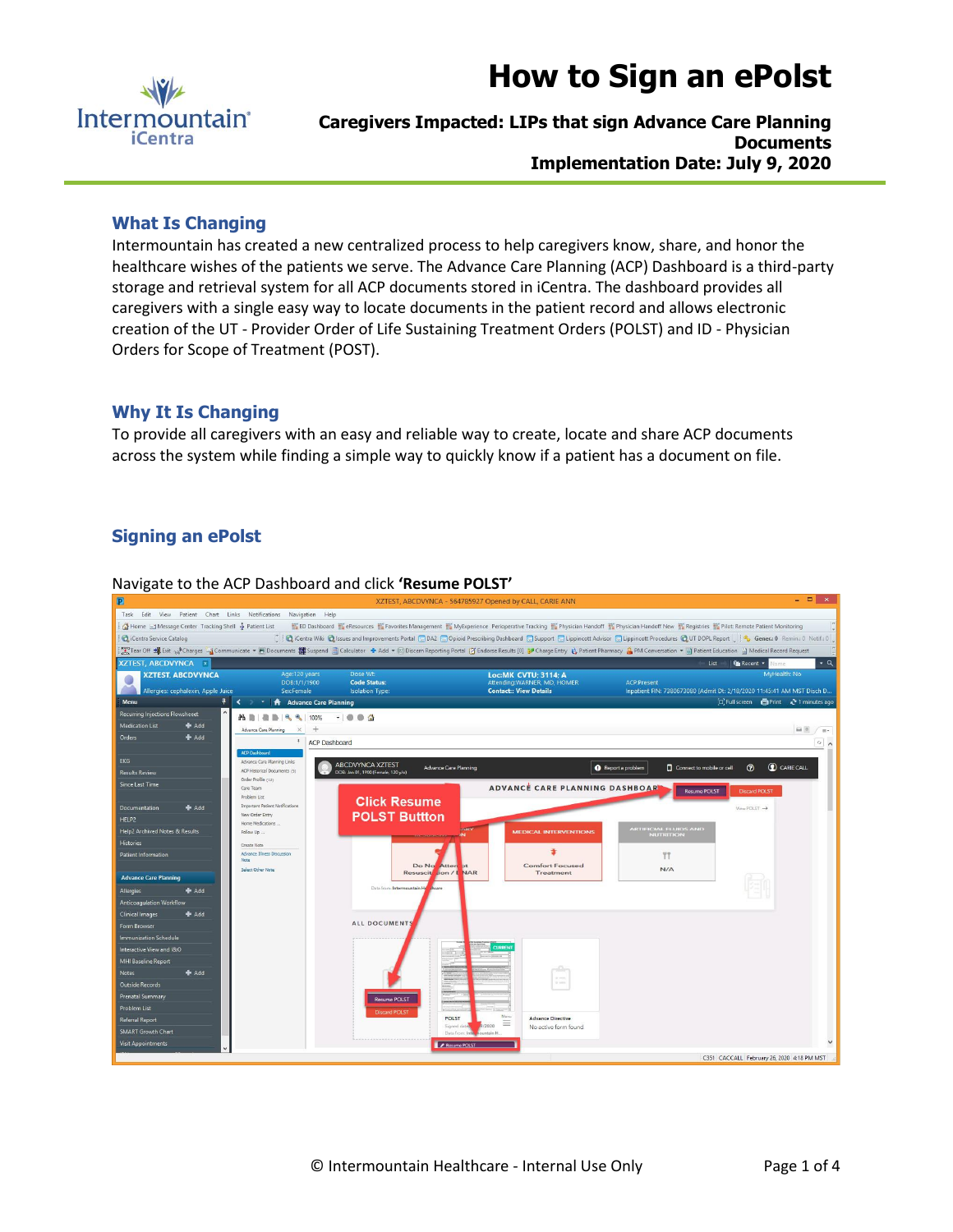

# **How to Sign an ePolst**

**Caregivers Impacted: LIPs that sign Advance Care Planning Documents Implementation Date: July 9, 2020**

### **What Is Changing**

Intermountain has created a new centralized process to help caregivers know, share, and honor the healthcare wishes of the patients we serve. The Advance Care Planning (ACP) Dashboard is a third-party storage and retrieval system for all ACP documents stored in iCentra. The dashboard provides all caregivers with a single easy way to locate documents in the patient record and allows electronic creation of the UT - Provider Order of Life Sustaining Treatment Orders (POLST) and ID - Physician Orders for Scope of Treatment (POST).

#### **Why It Is Changing**

To provide all caregivers with an easy and reliable way to create, locate and share ACP documents across the system while finding a simple way to quickly know if a patient has a document on file.

# **Signing an ePolst**



Navigate to the ACP Dashboard and click **'Resume POLST'**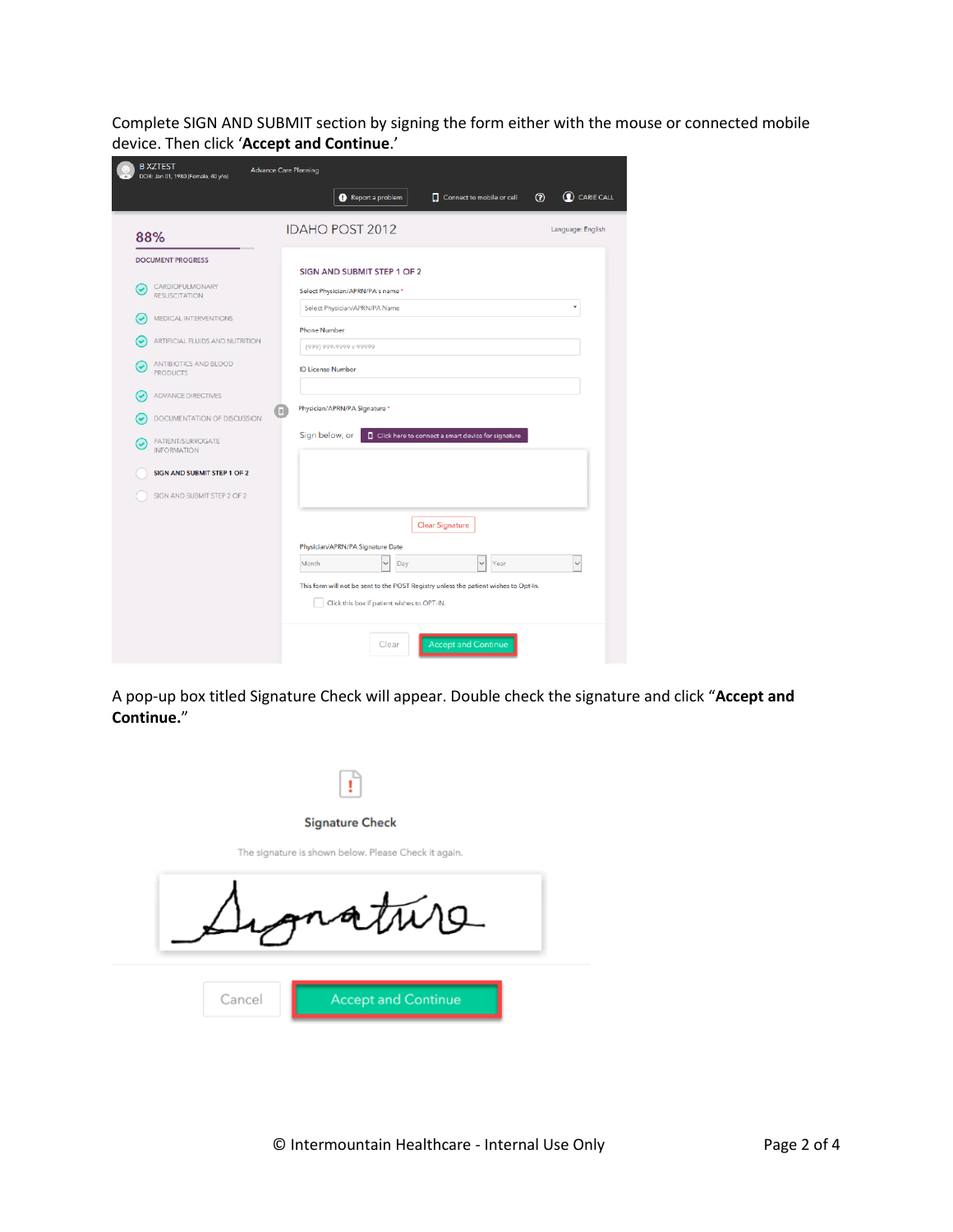Complete SIGN AND SUBMIT section by signing the form either with the mouse or connected mobile device. Then click '**Accept and Continue**.'

| DOB: Jan 01, 1980 (Female, 40 y/o)           | <b>Advance Care Planning</b><br>C CARIE CALL<br>$\odot$<br>Report a problem<br>Connect to mobile or cell                            |
|----------------------------------------------|-------------------------------------------------------------------------------------------------------------------------------------|
| 88%                                          | <b>IDAHO POST 2012</b><br>Language: English                                                                                         |
| <b>DOCUMENT PROGRESS</b>                     | SIGN AND SUBMIT STEP 1 OF 2                                                                                                         |
| CARDIOPULMONARY<br>V<br><b>RESUSCITATION</b> | Select Physician/APRN/PA's name *                                                                                                   |
| MEDICAL INTERVENTIONS                        | Select Physician/APRN/PA Name                                                                                                       |
| ARTIFICIAL FLUIDS AND NUTRITION              | <b>Phone Number</b><br>(999) 999-9999 x 99999                                                                                       |
| ANTIBIOTICS AND BLOOD<br><b>PRODUCTS</b>     | <b>ID License Number</b>                                                                                                            |
| <b>ADVANCE DIRECTIVES</b>                    |                                                                                                                                     |
| <b>DOCUMENTATION OF DISCUSSION</b>           | Physician/APRN/PA Signature *<br>n                                                                                                  |
| PATIENT/SURROGATE<br><b>INFORMATION</b>      | Sign below, or<br>Click here to connect a smart device for signature                                                                |
| SIGN AND SUBMIT STEP 1 OF 2                  |                                                                                                                                     |
| SIGN AND SUBMIT STEP 2 OF 2                  |                                                                                                                                     |
|                                              | <b>Clear Signature</b>                                                                                                              |
|                                              | Physician/APRN/PA Signature Date                                                                                                    |
|                                              | Month<br>Day<br>Year                                                                                                                |
|                                              | This form will not be sent to the POST Registry unless the patient wishes to Opt-In.<br>Click this box if patient wishes to OPT-IN. |
|                                              |                                                                                                                                     |

A pop-up box titled Signature Check will appear. Double check the signature and click "**Accept and Continue.**"

| <b>Signature Check</b>                               |
|------------------------------------------------------|
| The signature is shown below. Please Check it again. |
| grature                                              |
| Cancel<br><b>Accept and Continue</b>                 |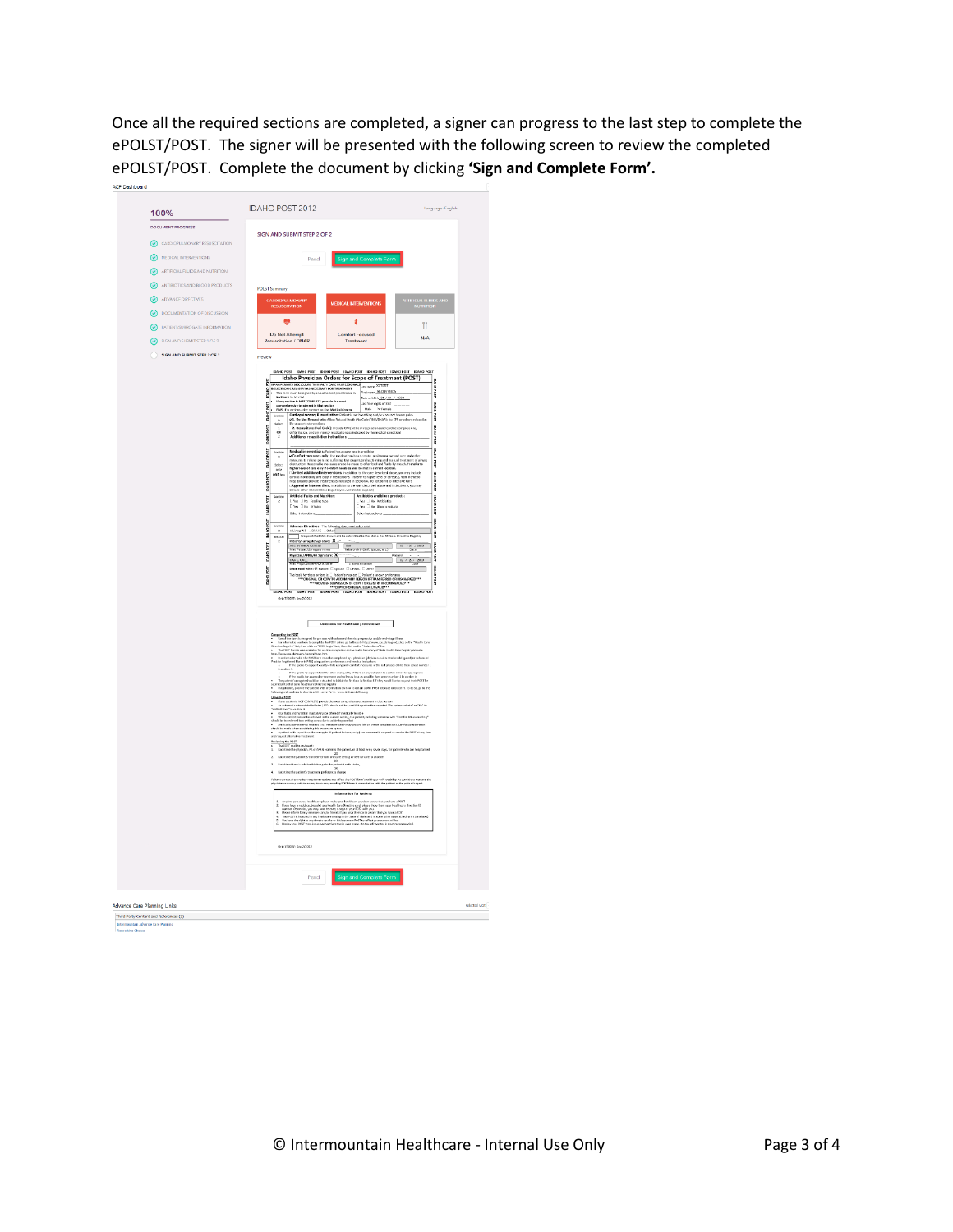Once all the required sections are completed, a signer can progress to the last step to complete the ePOLST/POST. The signer will be presented with the following screen to review the completed ePOLST/POST. Complete the document by clicking **'Sign and Complete Form'.**